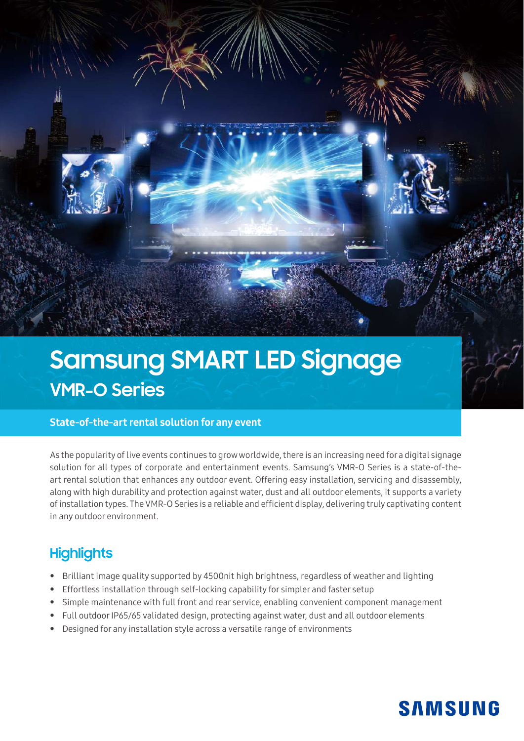

# **Samsung SMART LED Signage VMR-O Series**

### State-of-the-art rental solution for any event

As the popularity of live events continues to grow worldwide, there is an increasing need for a digital signage solution for all types of corporate and entertainment events. Samsung's VMR-O Series is a state-of-theart rental solution that enhances any outdoor event. Offering easy installation, servicing and disassembly, along with high durability and protection against water, dust and all outdoor elements, it supports a variety of installation types. The VMR-O Series is a reliable and efficient display, delivering truly captivating content in any outdoor environment.

## **Highlights**

- Brilliant image quality supported by 4500nit high brightness, regardless of weather and lighting
- Effortless installation through self-locking capability for simpler and faster setup
- Simple maintenance with full front and rear service, enabling convenient component management
- Full outdoor IP65/65 validated design, protecting against water, dust and all outdoor elements
- Designed for any installation style across a versatile range of environments

# **SAMSUNG**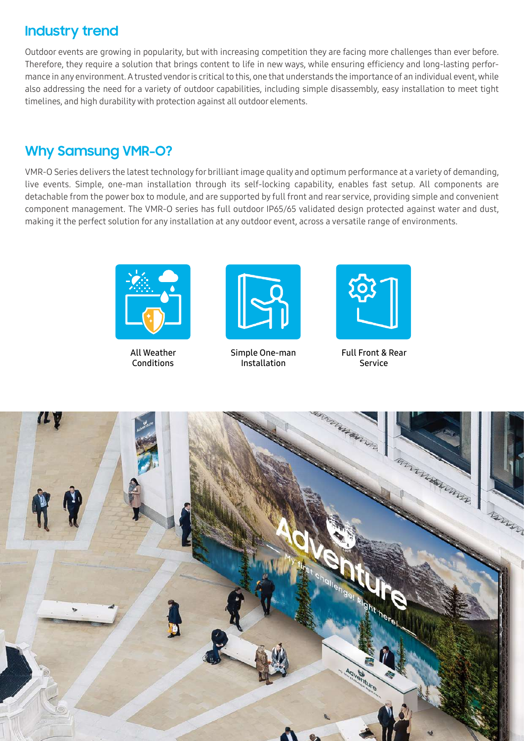## **Industry trend**

Outdoor events are growing in popularity, but with increasing competition they are facing more challenges than ever before. Therefore, they require a solution that brings content to life in new ways, while ensuring efficiency and long-lasting performance in any environment. A trusted vendor is critical to this, one that understands the importance of an individual event, while also addressing the need for a variety of outdoor capabilities, including simple disassembly, easy installation to meet tight timelines, and high durability with protection against all outdoor elements.

## **Why Samsung VMR-O?**

VMR-O Series delivers the latest technology for brilliant image quality and optimum performance at a variety of demanding, live events. Simple, one-man installation through its self-locking capability, enables fast setup. All components are detachable from the power box to module, and are supported by full front and rear service, providing simple and convenient component management. The VMR-O series has full outdoor IP65/65 validated design protected against water and dust, making it the perfect solution for any installation at any outdoor event, across a versatile range of environments.



All Weather **Conditions** 



Simple One-man Installation



Full Front & Rear Service

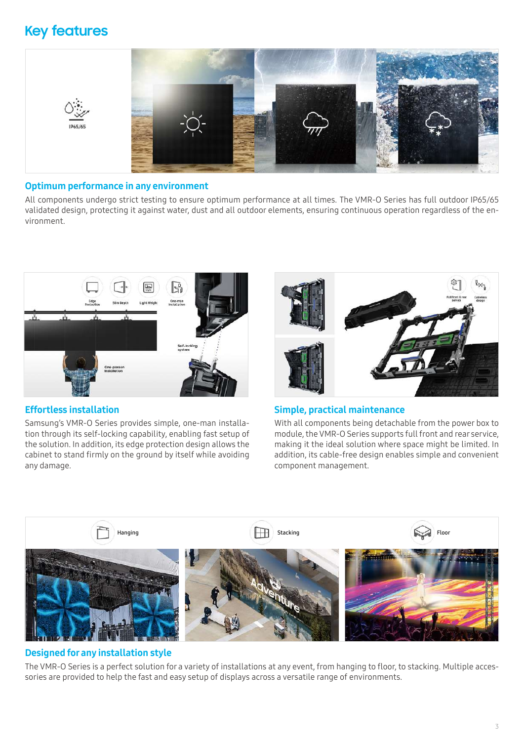## **Key features**



#### Optimum performance in any environment

All components undergo strict testing to ensure optimum performance at all times. The VMR-O Series has full outdoor IP65/65 validated design, protecting it against water, dust and all outdoor elements, ensuring continuous operation regardless of the environment.



### Effortless installation

Samsung's VMR-O Series provides simple, one-man installation through its self-locking capability, enabling fast setup of the solution. In addition, its edge protection design allows the cabinet to stand firmly on the ground by itself while avoiding any damage.



#### Simple, practical maintenance

With all components being detachable from the power box to module, the VMR-O Series supports full front and rear service, making it the ideal solution where space might be limited. In addition, its cable-free design enables simple and convenient component management.



#### Designed for any installation style

The VMR-O Series is a perfect solution for a variety of installations at any event, from hanging to floor, to stacking. Multiple accessories are provided to help the fast and easy setup of displays across a versatile range of environments.